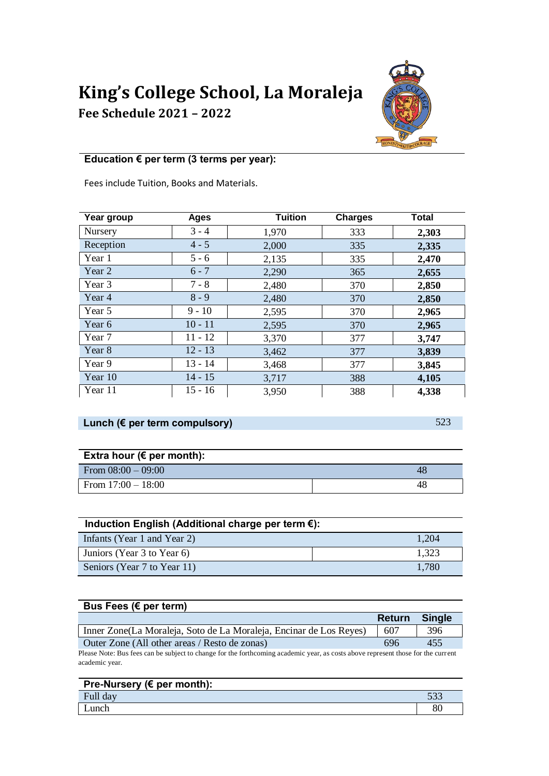# **King's College School, La Moraleja**

**Fee Schedule 2021 – 2022**



## **Education € per term (3 terms per year):**

Fees include Tuition, Books and Materials.

| Year group     | <b>Ages</b> | <b>Tuition</b> | <b>Charges</b> | <b>Total</b> |
|----------------|-------------|----------------|----------------|--------------|
| <b>Nursery</b> | $3 - 4$     | 1,970          | 333            | 2,303        |
| Reception      | $4 - 5$     | 2,000          | 335            | 2,335        |
| Year 1         | $5 - 6$     | 2,135          | 335            | 2,470        |
| Year 2         | $6 - 7$     | 2,290          | 365            | 2,655        |
| Year 3         | $7 - 8$     | 2,480          | 370            | 2,850        |
| Year 4         | $8 - 9$     | 2,480          | 370            | 2,850        |
| Year 5         | $9 - 10$    | 2,595          | 370            | 2,965        |
| Year 6         | $10 - 11$   | 2,595          | 370            | 2,965        |
| Year 7         | $11 - 12$   | 3,370          | 377            | 3,747        |
| Year 8         | $12 - 13$   | 3,462          | 377            | 3,839        |
| Year 9         | $13 - 14$   | 3,468          | 377            | 3,845        |
| Year 10        | $14 - 15$   | 3,717          | 388            | 4,105        |
| Year 11        | $15 - 16$   | 3,950          | 388            | 4,338        |

### **Lunch (€ per term compulsory)** 523

| Extra hour ( $\epsilon$ per month): |    |  |  |  |
|-------------------------------------|----|--|--|--|
| From $08:00 - 09:00$                | 48 |  |  |  |
| From $17:00 - 18:00$                | 48 |  |  |  |

| Induction English (Additional charge per term €): |       |  |  |  |
|---------------------------------------------------|-------|--|--|--|
| Infants (Year 1 and Year 2)                       | 1,204 |  |  |  |
| Juniors (Year 3 to Year 6)                        | 1,323 |  |  |  |
| Seniors (Year 7 to Year 11)                       | 1,780 |  |  |  |

# **Bus Fees (€ per term)**

|                                                                                                                                  | <b>Return</b> | <b>Single</b> |  |  |
|----------------------------------------------------------------------------------------------------------------------------------|---------------|---------------|--|--|
| Inner Zone (La Moraleja, Soto de La Moraleja, Encinar de Los Reyes)                                                              | 607           | 396           |  |  |
| Outer Zone (All other areas / Resto de zonas)                                                                                    | 696           | 455           |  |  |
| Please Note: Bus fees can be subject to change for the forthcoming academic year, as costs above represent those for the current |               |               |  |  |

Please Note: Bus fees can be subject to change for the forthcoming academic year, as costs above represent those for the current academic year.

| Pre-Nursery ( $\epsilon$ per month): |     |  |
|--------------------------------------|-----|--|
| Full day                             | マウク |  |
| ∟unch                                | 80  |  |